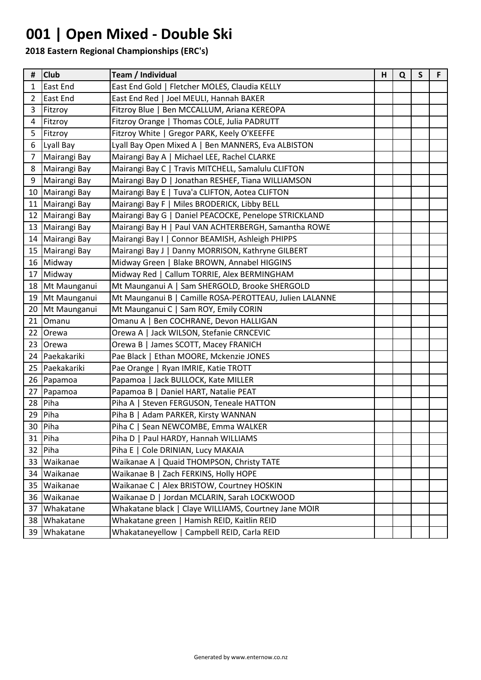# **001 | Open Mixed - Double Ski**

| #              | <b>Club</b>     | Team / Individual                                       | н | Q | $\mathsf S$ | F. |
|----------------|-----------------|---------------------------------------------------------|---|---|-------------|----|
| 1              | <b>East End</b> | East End Gold   Fletcher MOLES, Claudia KELLY           |   |   |             |    |
| $\overline{2}$ | East End        | East End Red   Joel MEULI, Hannah BAKER                 |   |   |             |    |
| 3              | Fitzroy         | Fitzroy Blue   Ben MCCALLUM, Ariana KEREOPA             |   |   |             |    |
| 4              | Fitzroy         | Fitzroy Orange   Thomas COLE, Julia PADRUTT             |   |   |             |    |
| 5              | Fitzroy         | Fitzroy White   Gregor PARK, Keely O'KEEFFE             |   |   |             |    |
| 6              | Lyall Bay       | Lyall Bay Open Mixed A   Ben MANNERS, Eva ALBISTON      |   |   |             |    |
| $\overline{7}$ | Mairangi Bay    | Mairangi Bay A   Michael LEE, Rachel CLARKE             |   |   |             |    |
| 8              | Mairangi Bay    | Mairangi Bay C   Travis MITCHELL, Samalulu CLIFTON      |   |   |             |    |
| 9              | Mairangi Bay    | Mairangi Bay D   Jonathan RESHEF, Tiana WILLIAMSON      |   |   |             |    |
|                | 10 Mairangi Bay | Mairangi Bay E   Tuva'a CLIFTON, Aotea CLIFTON          |   |   |             |    |
|                | 11 Mairangi Bay | Mairangi Bay F   Miles BRODERICK, Libby BELL            |   |   |             |    |
|                | 12 Mairangi Bay | Mairangi Bay G   Daniel PEACOCKE, Penelope STRICKLAND   |   |   |             |    |
|                | 13 Mairangi Bay | Mairangi Bay H   Paul VAN ACHTERBERGH, Samantha ROWE    |   |   |             |    |
|                | 14 Mairangi Bay | Mairangi Bay I   Connor BEAMISH, Ashleigh PHIPPS        |   |   |             |    |
|                | 15 Mairangi Bay | Mairangi Bay J   Danny MORRISON, Kathryne GILBERT       |   |   |             |    |
|                | 16 Midway       | Midway Green   Blake BROWN, Annabel HIGGINS             |   |   |             |    |
| 17             | Midway          | Midway Red   Callum TORRIE, Alex BERMINGHAM             |   |   |             |    |
|                | 18 Mt Maunganui | Mt Maunganui A   Sam SHERGOLD, Brooke SHERGOLD          |   |   |             |    |
|                | 19 Mt Maunganui | Mt Maunganui B   Camille ROSA-PEROTTEAU, Julien LALANNE |   |   |             |    |
|                | 20 Mt Maunganui | Mt Maunganui C   Sam ROY, Emily CORIN                   |   |   |             |    |
| 21             | Omanu           | Omanu A   Ben COCHRANE, Devon HALLIGAN                  |   |   |             |    |
| 22             | Orewa           | Orewa A   Jack WILSON, Stefanie CRNCEVIC                |   |   |             |    |
|                | 23 Orewa        | Orewa B   James SCOTT, Macey FRANICH                    |   |   |             |    |
|                | 24 Paekakariki  | Pae Black   Ethan MOORE, Mckenzie JONES                 |   |   |             |    |
| 25             | Paekakariki     | Pae Orange   Ryan IMRIE, Katie TROTT                    |   |   |             |    |
|                | 26 Papamoa      | Papamoa   Jack BULLOCK, Kate MILLER                     |   |   |             |    |
| 27             | Papamoa         | Papamoa B   Daniel HART, Natalie PEAT                   |   |   |             |    |
|                | 28 Piha         | Piha A   Steven FERGUSON, Teneale HATTON                |   |   |             |    |
| 29             | Piha            | Piha B   Adam PARKER, Kirsty WANNAN                     |   |   |             |    |
|                | 30 Piha         | Piha C   Sean NEWCOMBE, Emma WALKER                     |   |   |             |    |
| 31             | Piha            | Piha D   Paul HARDY, Hannah WILLIAMS                    |   |   |             |    |
| 32             | Piha            | Piha E   Cole DRINIAN, Lucy MAKAIA                      |   |   |             |    |
| 33             | Waikanae        | Waikanae A   Quaid THOMPSON, Christy TATE               |   |   |             |    |
| 34             | Waikanae        | Waikanae B   Zach FERKINS, Holly HOPE                   |   |   |             |    |
| 35             | Waikanae        | Waikanae C   Alex BRISTOW, Courtney HOSKIN              |   |   |             |    |
|                | 36 Waikanae     | Waikanae D   Jordan MCLARIN, Sarah LOCKWOOD             |   |   |             |    |
| 37             | Whakatane       | Whakatane black   Claye WILLIAMS, Courtney Jane MOIR    |   |   |             |    |
| 38             | Whakatane       | Whakatane green   Hamish REID, Kaitlin REID             |   |   |             |    |
| 39             | Whakatane       | Whakataneyellow  <br>Campbell REID, Carla REID          |   |   |             |    |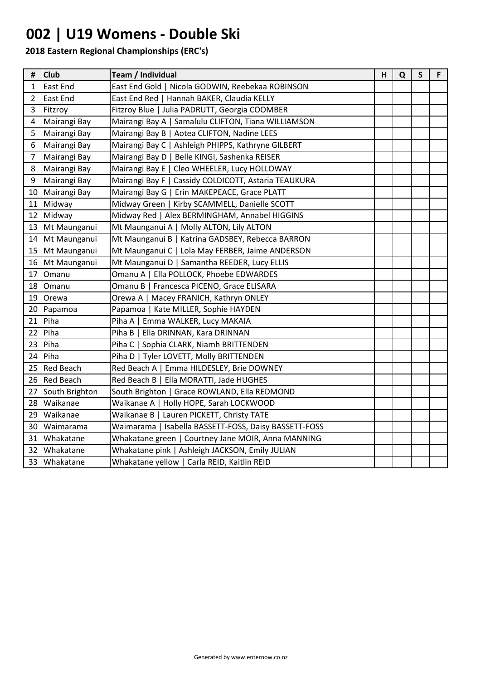## **002 | U19 Womens - Double Ski**

| #  | <b>Club</b>      | Team / Individual                                     | H | Q | $\mathsf{S}$ | F. |
|----|------------------|-------------------------------------------------------|---|---|--------------|----|
| 1  | East End         | East End Gold   Nicola GODWIN, Reebekaa ROBINSON      |   |   |              |    |
| 2  | <b>East End</b>  | East End Red   Hannah BAKER, Claudia KELLY            |   |   |              |    |
| 3  | Fitzroy          | Fitzroy Blue   Julia PADRUTT, Georgia COOMBER         |   |   |              |    |
| 4  | Mairangi Bay     | Mairangi Bay A   Samalulu CLIFTON, Tiana WILLIAMSON   |   |   |              |    |
| 5  | Mairangi Bay     | Mairangi Bay B   Aotea CLIFTON, Nadine LEES           |   |   |              |    |
| 6  | Mairangi Bay     | Mairangi Bay C   Ashleigh PHIPPS, Kathryne GILBERT    |   |   |              |    |
| 7  | Mairangi Bay     | Mairangi Bay D   Belle KINGI, Sashenka REISER         |   |   |              |    |
| 8  | Mairangi Bay     | Mairangi Bay E   Cleo WHEELER, Lucy HOLLOWAY          |   |   |              |    |
| 9  | Mairangi Bay     | Mairangi Bay F   Cassidy COLDICOTT, Astaria TEAUKURA  |   |   |              |    |
| 10 | Mairangi Bay     | Mairangi Bay G   Erin MAKEPEACE, Grace PLATT          |   |   |              |    |
|    | 11 Midway        | Midway Green   Kirby SCAMMELL, Danielle SCOTT         |   |   |              |    |
|    | 12 Midway        | Midway Red   Alex BERMINGHAM, Annabel HIGGINS         |   |   |              |    |
|    | 13 Mt Maunganui  | Mt Maunganui A   Molly ALTON, Lily ALTON              |   |   |              |    |
| 14 | Mt Maunganui     | Mt Maunganui B   Katrina GADSBEY, Rebecca BARRON      |   |   |              |    |
| 15 | Mt Maunganui     | Mt Maunganui C   Lola May FERBER, Jaime ANDERSON      |   |   |              |    |
| 16 | Mt Maunganui     | Mt Maunganui D   Samantha REEDER, Lucy ELLIS          |   |   |              |    |
| 17 | Omanu            | Omanu A   Ella POLLOCK, Phoebe EDWARDES               |   |   |              |    |
| 18 | Omanu            | Omanu B   Francesca PICENO, Grace ELISARA             |   |   |              |    |
| 19 | Orewa            | Orewa A   Macey FRANICH, Kathryn ONLEY                |   |   |              |    |
|    | 20 Papamoa       | Papamoa   Kate MILLER, Sophie HAYDEN                  |   |   |              |    |
| 21 | Piha             | Piha A   Emma WALKER, Lucy MAKAIA                     |   |   |              |    |
| 22 | Piha             | Piha B   Ella DRINNAN, Kara DRINNAN                   |   |   |              |    |
| 23 | Piha             | Piha C   Sophia CLARK, Niamh BRITTENDEN               |   |   |              |    |
| 24 | Piha             | Piha D   Tyler LOVETT, Molly BRITTENDEN               |   |   |              |    |
| 25 | <b>Red Beach</b> | Red Beach A   Emma HILDESLEY, Brie DOWNEY             |   |   |              |    |
| 26 | <b>Red Beach</b> | Red Beach B   Ella MORATTI, Jade HUGHES               |   |   |              |    |
| 27 | South Brighton   | South Brighton   Grace ROWLAND, Ella REDMOND          |   |   |              |    |
| 28 | Waikanae         | Waikanae A   Holly HOPE, Sarah LOCKWOOD               |   |   |              |    |
| 29 | Waikanae         | Waikanae B   Lauren PICKETT, Christy TATE             |   |   |              |    |
| 30 | Waimarama        | Waimarama   Isabella BASSETT-FOSS, Daisy BASSETT-FOSS |   |   |              |    |
| 31 | Whakatane        | Whakatane green   Courtney Jane MOIR, Anna MANNING    |   |   |              |    |
| 32 | Whakatane        | Whakatane pink   Ashleigh JACKSON, Emily JULIAN       |   |   |              |    |
|    | 33 Whakatane     | Whakatane yellow   Carla REID, Kaitlin REID           |   |   |              |    |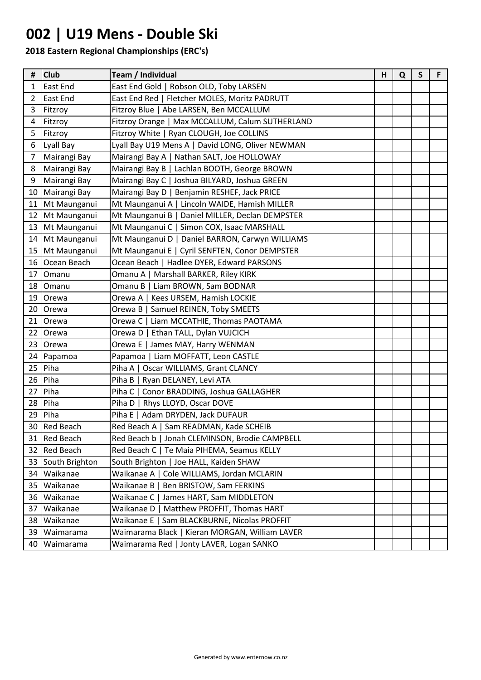### **002 | U19 Mens - Double Ski**

| #  | <b>Club</b>      | Team / Individual                                | н | Q | $\mathsf S$ | F. |
|----|------------------|--------------------------------------------------|---|---|-------------|----|
| 1  | East End         | East End Gold   Robson OLD, Toby LARSEN          |   |   |             |    |
| 2  | East End         | East End Red   Fletcher MOLES, Moritz PADRUTT    |   |   |             |    |
| 3  | Fitzroy          | Fitzroy Blue   Abe LARSEN, Ben MCCALLUM          |   |   |             |    |
| 4  | Fitzroy          | Fitzroy Orange   Max MCCALLUM, Calum SUTHERLAND  |   |   |             |    |
| 5  | Fitzroy          | Fitzroy White   Ryan CLOUGH, Joe COLLINS         |   |   |             |    |
| 6  | Lyall Bay        | Lyall Bay U19 Mens A   David LONG, Oliver NEWMAN |   |   |             |    |
| 7  | Mairangi Bay     | Mairangi Bay A   Nathan SALT, Joe HOLLOWAY       |   |   |             |    |
| 8  | Mairangi Bay     | Mairangi Bay B   Lachlan BOOTH, George BROWN     |   |   |             |    |
| 9  | Mairangi Bay     | Mairangi Bay C   Joshua BILYARD, Joshua GREEN    |   |   |             |    |
| 10 | Mairangi Bay     | Mairangi Bay D   Benjamin RESHEF, Jack PRICE     |   |   |             |    |
| 11 | Mt Maunganui     | Mt Maunganui A   Lincoln WAIDE, Hamish MILLER    |   |   |             |    |
| 12 | Mt Maunganui     | Mt Maunganui B   Daniel MILLER, Declan DEMPSTER  |   |   |             |    |
| 13 | Mt Maunganui     | Mt Maunganui C   Simon COX, Isaac MARSHALL       |   |   |             |    |
| 14 | Mt Maunganui     | Mt Maunganui D   Daniel BARRON, Carwyn WILLIAMS  |   |   |             |    |
|    | 15 Mt Maunganui  | Mt Maunganui E   Cyril SENFTEN, Conor DEMPSTER   |   |   |             |    |
| 16 | Ocean Beach      | Ocean Beach   Hadlee DYER, Edward PARSONS        |   |   |             |    |
| 17 | Omanu            | Omanu A   Marshall BARKER, Riley KIRK            |   |   |             |    |
| 18 | Omanu            | Omanu B   Liam BROWN, Sam BODNAR                 |   |   |             |    |
| 19 | Orewa            | Orewa A   Kees URSEM, Hamish LOCKIE              |   |   |             |    |
| 20 | <b>Orewa</b>     | Samuel REINEN, Toby SMEETS<br>Orewa B            |   |   |             |    |
| 21 | <b>Orewa</b>     | Liam MCCATHIE, Thomas PAOTAMA<br>Orewa C         |   |   |             |    |
| 22 | Orewa            | Ethan TALL, Dylan VUJCICH<br>Orewa D             |   |   |             |    |
|    | 23 Orewa         | Orewa E   James MAY, Harry WENMAN                |   |   |             |    |
|    | 24 Papamoa       | Papamoa   Liam MOFFATT, Leon CASTLE              |   |   |             |    |
| 25 | Piha             | Piha A  <br>Oscar WILLIAMS, Grant CLANCY         |   |   |             |    |
| 26 | Piha             | Piha $B$  <br>Ryan DELANEY, Levi ATA             |   |   |             |    |
| 27 | Piha             | Piha $C$  <br>Conor BRADDING, Joshua GALLAGHER   |   |   |             |    |
| 28 | Piha             | Piha D   Rhys LLOYD, Oscar DOVE                  |   |   |             |    |
| 29 | Piha             | Piha E   Adam DRYDEN, Jack DUFAUR                |   |   |             |    |
| 30 | <b>Red Beach</b> | Red Beach A   Sam READMAN, Kade SCHEIB           |   |   |             |    |
|    | 31 Red Beach     | Red Beach b   Jonah CLEMINSON, Brodie CAMPBELL   |   |   |             |    |
| 32 | <b>Red Beach</b> | Red Beach C   Te Maia PIHEMA, Seamus KELLY       |   |   |             |    |
| 33 | South Brighton   | South Brighton   Joe HALL, Kaiden SHAW           |   |   |             |    |
| 34 | Waikanae         | Waikanae A   Cole WILLIAMS, Jordan MCLARIN       |   |   |             |    |
| 35 | Waikanae         | Waikanae B  <br>Ben BRISTOW, Sam FERKINS         |   |   |             |    |
| 36 | Waikanae         | Waikanae C   James HART, Sam MIDDLETON           |   |   |             |    |
| 37 | Waikanae         | Waikanae D   Matthew PROFFIT, Thomas HART        |   |   |             |    |
|    | 38 Waikanae      | Waikanae E   Sam BLACKBURNE, Nicolas PROFFIT     |   |   |             |    |
| 39 | Waimarama        | Waimarama Black   Kieran MORGAN, William LAVER   |   |   |             |    |
|    | 40 Waimarama     | Waimarama Red   Jonty LAVER, Logan SANKO         |   |   |             |    |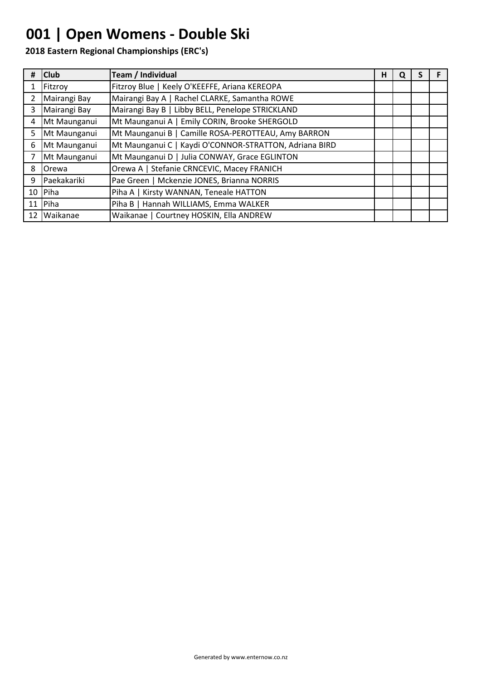## **001 | Open Womens - Double Ski**

| #              | <b>Club</b>  | Team / Individual                                      | н | Q |  |
|----------------|--------------|--------------------------------------------------------|---|---|--|
|                | Fitzroy      | Fitzroy Blue   Keely O'KEEFFE, Ariana KEREOPA          |   |   |  |
| 2              | Mairangi Bay | Mairangi Bay A   Rachel CLARKE, Samantha ROWE          |   |   |  |
| 3              | Mairangi Bay | Mairangi Bay B   Libby BELL, Penelope STRICKLAND       |   |   |  |
| $\overline{4}$ | Mt Maunganui | Mt Maunganui A   Emily CORIN, Brooke SHERGOLD          |   |   |  |
| 5              | Mt Maunganui | Mt Maunganui B   Camille ROSA-PEROTTEAU, Amy BARRON    |   |   |  |
| 6              | Mt Maunganui | Mt Maunganui C   Kaydi O'CONNOR-STRATTON, Adriana BIRD |   |   |  |
| 7              | Mt Maunganui | Mt Maunganui D   Julia CONWAY, Grace EGLINTON          |   |   |  |
| 8              | <b>Orewa</b> | Orewa A   Stefanie CRNCEVIC, Macey FRANICH             |   |   |  |
| 9              | Paekakariki  | Pae Green   Mckenzie JONES, Brianna NORRIS             |   |   |  |
|                | 10 Piha      | Piha A   Kirsty WANNAN, Teneale HATTON                 |   |   |  |
|                | 11 $Pi$      | Piha B   Hannah WILLIAMS, Emma WALKER                  |   |   |  |
|                | 12 Waikanae  | Waikanae   Courtney HOSKIN, Ella ANDREW                |   |   |  |